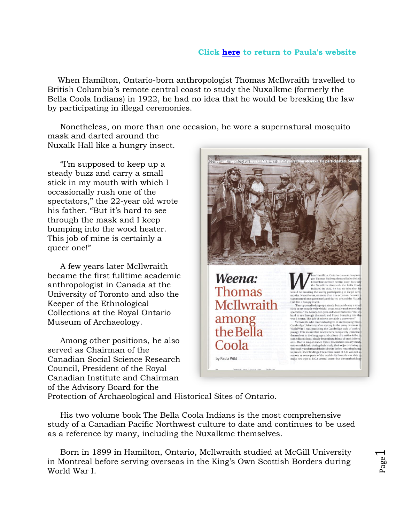## **Click [here](http://www.paulawild.ca/) to return to Paula's website**

 When Hamilton, Ontario-born anthropologist Thomas McIlwraith travelled to British Columbia's remote central coast to study the Nuxalkmc (formerly the Bella Coola Indians) in 1922, he had no idea that he would be breaking the law by participating in illegal ceremonies.

 Nonetheless, on more than one occasion, he wore a supernatural mosquito mask and darted around the Nuxalk Hall like a hungry insect.

 "I'm supposed to keep up a steady buzz and carry a small stick in my mouth with which I occasionally rush one of the spectators," the 22-year old wrote his father. "But it's hard to see through the mask and I keep bumping into the wood heater. This job of mine is certainly a queer one!"

 A few years later McIlwraith became the first fulltime academic anthropologist in Canada at the University of Toronto and also the Keeper of the Ethnological Collections at the Royal Ontario Museum of Archaeology.

 Among other positions, he also served as Chairman of the Canadian Social Science Research Council, President of the Royal Canadian Institute and Chairman of the Advisory Board for the



Protection of Archaeological and Historical Sites of Ontario.

 His two volume book The Bella Coola Indians is the most comprehensive study of a Canadian Pacific Northwest culture to date and continues to be used as a reference by many, including the Nuxalkmc themselves.

 Born in 1899 in Hamilton, Ontario, McIlwraith studied at McGill University in Montreal before serving overseas in the King's Own Scottish Borders during World War I.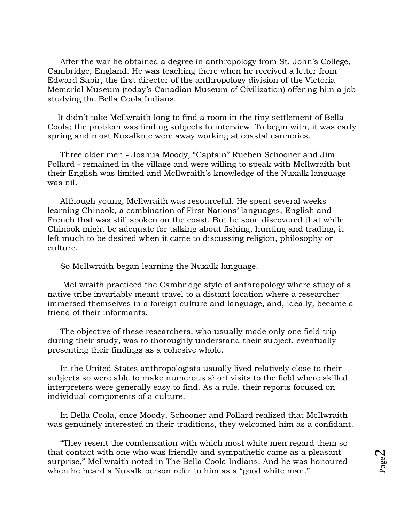After the war he obtained a degree in anthropology from St. John's College, Cambridge, England. He was teaching there when he received a letter from Edward Sapir, the first director of the anthropology division of the Victoria Memorial Museum (today's Canadian Museum of Civilization) offering him a job studying the Bella Coola Indians.

 It didn't take McIlwraith long to find a room in the tiny settlement of Bella Coola; the problem was finding subjects to interview. To begin with, it was early spring and most Nuxalkmc were away working at coastal canneries.

 Three older men - Joshua Moody, "Captain" Rueben Schooner and Jim Pollard - remained in the village and were willing to speak with McIlwraith but their English was limited and McIlwraith's knowledge of the Nuxalk language was nil.

 Although young, McIlwraith was resourceful. He spent several weeks learning Chinook, a combination of First Nations' languages, English and French that was still spoken on the coast. But he soon discovered that while Chinook might be adequate for talking about fishing, hunting and trading, it left much to be desired when it came to discussing religion, philosophy or culture.

So McIlwraith began learning the Nuxalk language.

 McIlwraith practiced the Cambridge style of anthropology where study of a native tribe invariably meant travel to a distant location where a researcher immersed themselves in a foreign culture and language, and, ideally, became a friend of their informants.

 The objective of these researchers, who usually made only one field trip during their study, was to thoroughly understand their subject, eventually presenting their findings as a cohesive whole.

 In the United States anthropologists usually lived relatively close to their subjects so were able to make numerous short visits to the field where skilled interpreters were generally easy to find. As a rule, their reports focused on individual components of a culture.

 In Bella Coola, once Moody, Schooner and Pollard realized that McIlwraith was genuinely interested in their traditions, they welcomed him as a confidant.

 "They resent the condensation with which most white men regard them so that contact with one who was friendly and sympathetic came as a pleasant surprise," McIlwraith noted in The Bella Coola Indians. And he was honoured when he heard a Nuxalk person refer to him as a "good white man."